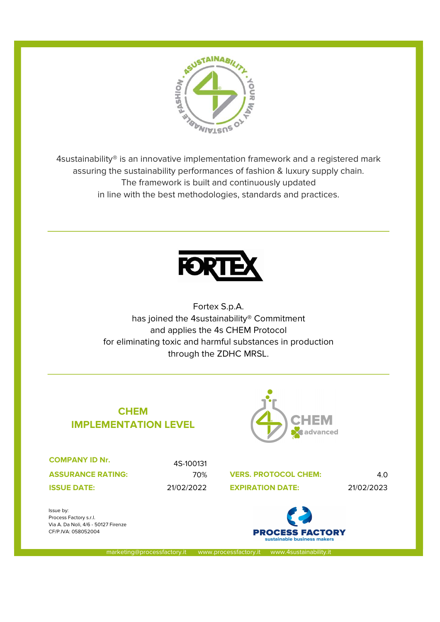

4sustainability® is an innovative implementation framework and a registered mark assuring the sustainability performances of fashion & luxury supply chain. The framework is built and continuously updated in line with the best methodologies, standards and practices.



Fortex S.p.A. has joined the 4sustainability® Commitment and applies the 4s CHEM Protocol for eliminating toxic and harmful substances in production through the ZDHC MRSL.

## CHEM IMPLEMENTATION LEVEL



COMPANY ID Nr.

ASSURANCE RATING:

4S-100131

70% VERS. PROTOCOL CHEM: 4.0 **ISSUE DATE:** 21/02/2022 **EXPIRATION DATE:** 21/02/2023





marketing@processfactory.it www.processfactory.it www.4sustainability.it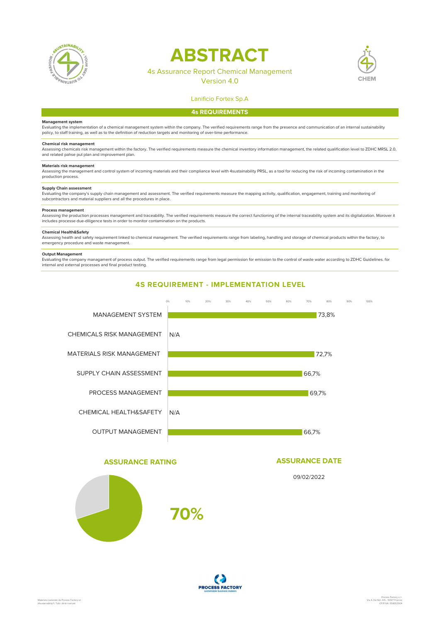

# **ABSTRACT**



## 4s Assurance Report Chemical Management

Version 4.0

#### Lanificio Fortex Sp.A

#### 4s REQUIREMENTS

#### Management system

Evaluating the implementation of a chemical management system within the company. The verified requirements range from the presence and communication of an internal sustainability policy, to staff training, as well as to the definition of reduction targets and monitoring of over-time performance.

**Chemical risk management**<br>Assessing chemicals risk management within the factory. The verified requirements measure the chemical inventory information management, the related qualification level to ZDHC MRSL 2.0, and related pahse put plan and improvement plan.

#### Materials risk management

Assessing the management and control system of incoming materials and their compliance level with 4sustainability PRSL, as a tool for reducing the risk of incoming contamination in the production process.

#### Supply Chain assessment

Evaluating the company's supply chain management and assessment. The verified requirements measure the mapping activity, qualification, engagement, training and monitoring of subcontractors and material suppliers and all the procedures in place.

#### Process management

Assessing the production processes management and traceability. The verified requirements measure the correct functioning of the internal traceability system and its digitalization. Morover it includes processe due-diligence tests in order to monitor contamination on the products.

#### Chemical Health&Safety

Assessing health and safety requirement linked to chemical management. The verified requirements range from labeling, handling and storage of chemical products within the factory, to<br>emergency procedure and waste managemen

#### Output Management

Evaluating the company managament of process output. The verified requirements range from legal permission for emission to the control of waste water according to ZDHC Guidelines. for internal and external processes and final product testing.



#### ASSURANCE RATING



#### ASSURANCE DATE

09/02/2022

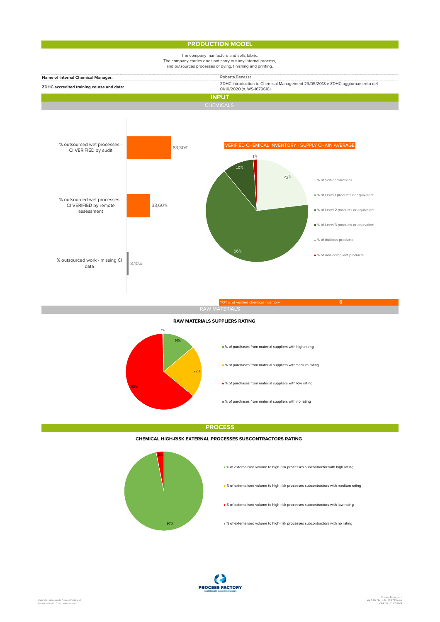### **PRODUCTION MODEL**



#### RAW MATERIALS SUPPLIERS RATING



**PROCESS** 

#### CHEMICAL HIGH-RISK EXTERNAL PROCESSES SUBCONTRACTORS RATING